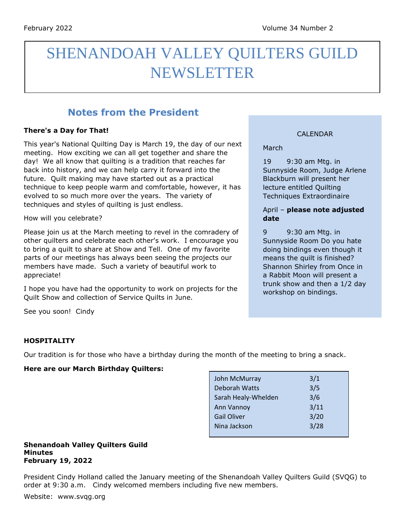# SHENANDOAH VALLEY QUILTERS GUILD NEWSLETTER

# **Notes from the President**

# **There's a Day for That!**

This year's National Quilting Day is March 19, the day of our next meeting. How exciting we can all get together and share the day! We all know that quilting is a tradition that reaches far back into history, and we can help carry it forward into the future. Quilt making may have started out as a practical technique to keep people warm and comfortable, however, it has evolved to so much more over the years. The variety of techniques and styles of quilting is just endless.

How will you celebrate?

Please join us at the March meeting to revel in the comradery of other quilters and celebrate each other's work. I encourage you to bring a quilt to share at Show and Tell. One of my favorite parts of our meetings has always been seeing the projects our members have made. Such a variety of beautiful work to appreciate!

I hope you have had the opportunity to work on projects for the Quilt Show and collection of Service Quilts in June.

# CALENDAR

March

19 9:30 am Mtg. in Sunnyside Room, Judge Arlene Blackburn will present her lecture entitled Quilting Techniques Extraordinaire

# April – **please note adjusted date**

9 9:30 am Mtg. in Sunnyside Room Do you hate doing bindings even though it means the quilt is finished? Shannon Shirley from Once in a Rabbit Moon will present a trunk show and then a 1/2 day workshop on bindings.

See you soon! Cindy

# **HOSPITALITY**

Our tradition is for those who have a birthday during the month of the meeting to bring a snack.

# **Here are our March Birthday Quilters:**

| John McMurray        | 3/1  |
|----------------------|------|
| <b>Deborah Watts</b> | 3/5  |
| Sarah Healy-Whelden  | 3/6  |
| Ann Vannoy           | 3/11 |
| <b>Gail Oliver</b>   | 3/20 |
| Nina Jackson         | 3/28 |
|                      |      |

#### **Shenandoah Valley Quilters Guild Minutes February 19, 2022**

President Cindy Holland called the January meeting of the Shenandoah Valley Quilters Guild (SVQG) to order at 9:30 a.m. Cindy welcomed members including five new members.

Website: www.svqg.org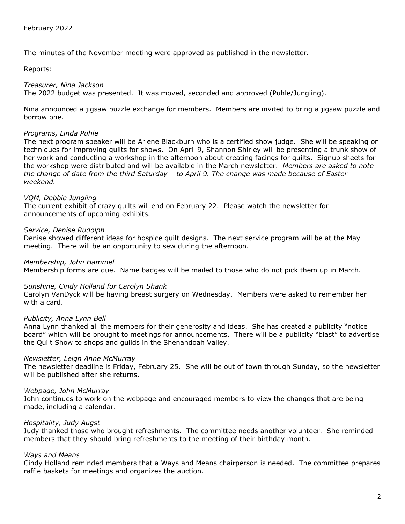The minutes of the November meeting were approved as published in the newsletter.

Reports:

# *Treasurer, Nina Jackson*

The 2022 budget was presented. It was moved, seconded and approved (Puhle/Jungling).

Nina announced a jigsaw puzzle exchange for members. Members are invited to bring a jigsaw puzzle and borrow one.

#### *Programs, Linda Puhle*

The next program speaker will be Arlene Blackburn who is a certified show judge. She will be speaking on techniques for improving quilts for shows. On April 9, Shannon Shirley will be presenting a trunk show of her work and conducting a workshop in the afternoon about creating facings for quilts. Signup sheets for the workshop were distributed and will be available in the March newsletter. *Members are asked to note the change of date from the third Saturday – to April 9. The change was made because of Easter weekend.*

# *VQM, Debbie Jungling*

The current exhibit of crazy quilts will end on February 22. Please watch the newsletter for announcements of upcoming exhibits.

# *Service, Denise Rudolph*

Denise showed different ideas for hospice quilt designs. The next service program will be at the May meeting. There will be an opportunity to sew during the afternoon.

*Membership, John Hammel*

Membership forms are due. Name badges will be mailed to those who do not pick them up in March.

# *Sunshine, Cindy Holland for Carolyn Shank*

Carolyn VanDyck will be having breast surgery on Wednesday. Members were asked to remember her with a card.

# *Publicity, Anna Lynn Bell*

Anna Lynn thanked all the members for their generosity and ideas. She has created a publicity "notice board" which will be brought to meetings for announcements. There will be a publicity "blast" to advertise the Quilt Show to shops and guilds in the Shenandoah Valley.

#### *Newsletter, Leigh Anne McMurray*

The newsletter deadline is Friday, February 25. She will be out of town through Sunday, so the newsletter will be published after she returns.

# *Webpage, John McMurray*

John continues to work on the webpage and encouraged members to view the changes that are being made, including a calendar.

# *Hospitality, Judy Augst*

Judy thanked those who brought refreshments. The committee needs another volunteer. She reminded members that they should bring refreshments to the meeting of their birthday month.

# *Ways and Means*

Cindy Holland reminded members that a Ways and Means chairperson is needed. The committee prepares raffle baskets for meetings and organizes the auction.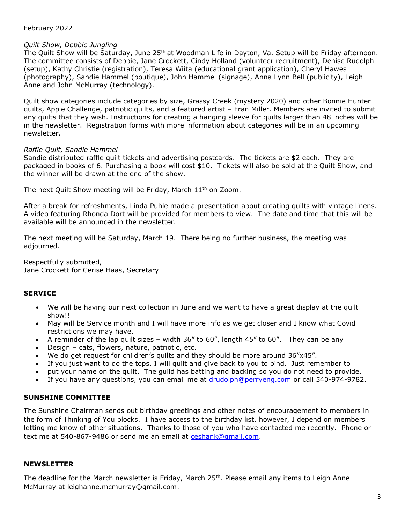# February 2022

# *Quilt Show, Debbie Jungling*

The Quilt Show will be Saturday, June 25<sup>th</sup> at Woodman Life in Dayton, Va. Setup will be Friday afternoon. The committee consists of Debbie, Jane Crockett, Cindy Holland (volunteer recruitment), Denise Rudolph (setup), Kathy Christie (registration), Teresa Wiita (educational grant application), Cheryl Hawes (photography), Sandie Hammel (boutique), John Hammel (signage), Anna Lynn Bell (publicity), Leigh Anne and John McMurray (technology).

Quilt show categories include categories by size, Grassy Creek (mystery 2020) and other Bonnie Hunter quilts, Apple Challenge, patriotic quilts, and a featured artist – Fran Miller. Members are invited to submit any quilts that they wish. Instructions for creating a hanging sleeve for quilts larger than 48 inches will be in the newsletter. Registration forms with more information about categories will be in an upcoming newsletter.

# *Raffle Quilt, Sandie Hammel*

Sandie distributed raffle quilt tickets and advertising postcards. The tickets are \$2 each. They are packaged in books of 6. Purchasing a book will cost \$10. Tickets will also be sold at the Quilt Show, and the winner will be drawn at the end of the show.

The next Quilt Show meeting will be Friday, March 11<sup>th</sup> on Zoom.

After a break for refreshments, Linda Puhle made a presentation about creating quilts with vintage linens. A video featuring Rhonda Dort will be provided for members to view. The date and time that this will be available will be announced in the newsletter.

The next meeting will be Saturday, March 19. There being no further business, the meeting was adjourned.

Respectfully submitted, Jane Crockett for Cerise Haas, Secretary

# **SERVICE**

- We will be having our next collection in June and we want to have a great display at the quilt show!!
- May will be Service month and I will have more info as we get closer and I know what Covid restrictions we may have.
- A reminder of the lap quilt sizes width 36" to 60", length 45" to 60". They can be any
- Design cats, flowers, nature, patriotic, etc.
- We do get request for children's quilts and they should be more around 36"x45".
- If you just want to do the tops, I will quilt and give back to you to bind. Just remember to
- put your name on the quilt. The guild has batting and backing so you do not need to provide.
- If you have any questions, you can email me at [drudolph@perryeng.com](mailto:drudolph@perryeng.com) or call 540-974-9782.

# **SUNSHINE COMMITTEE**

The Sunshine Chairman sends out birthday greetings and other notes of encouragement to members in the form of Thinking of You blocks. I have access to the birthday list, however, I depend on members letting me know of other situations. Thanks to those of you who have contacted me recently. Phone or text me at 540-867-9486 or send me an email at [ceshank@gmail.com.](mailto:ceshank@gmail.com)

# **NEWSLETTER**

The deadline for the March newsletter is Friday, March 25<sup>th</sup>. Please email any items to [Leigh](mailto:Leigh) Anne McMurray at [leighanne.mcmurray@gmail.com.](mailto:leighanne.mcmurray@gmail.com)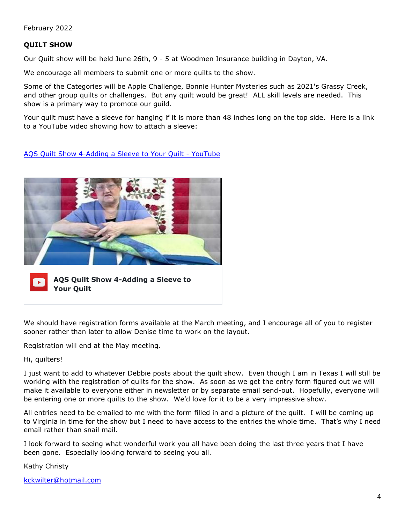February 2022

# **QUILT SHOW**

Our Quilt show will be held June 26th, 9 - 5 at Woodmen Insurance building in Dayton, VA.

We encourage all members to submit one or more quilts to the show.

Some of the Categories will be Apple Challenge, Bonnie Hunter Mysteries such as 2021's Grassy Creek, and other group quilts or challenges. But any quilt would be great! ALL skill levels are needed. This show is a primary way to promote our guild.

Your quilt must have a sleeve for hanging if it is more than 48 inches long on the top side. Here is a link to a YouTube video showing how to attach a sleeve:

[AQS Quilt Show 4-Adding a Sleeve to Your Quilt -](https://www.youtube.com/watch?v=m_Vd82aSiAA) YouTube



**AQS Quilt Show 4-Adding a Sleeve to Your Quilt**

We should have registration forms available at the March meeting, and I encourage all of you to register sooner rather than later to allow Denise time to work on the layout.

Registration will end at the May meeting.

Hi, quilters!

I just want to add to whatever Debbie posts about the quilt show. Even though I am in Texas I will still be working with the registration of quilts for the show. As soon as we get the entry form figured out we will make it available to everyone either in newsletter or by separate email send-out. Hopefully, everyone will be entering one or more quilts to the show. We'd love for it to be a very impressive show.

All entries need to be emailed to me with the form filled in and a picture of the quilt. I will be coming up to Virginia in time for the show but I need to have access to the entries the whole time. That's why I need email rather than snail mail.

I look forward to seeing what wonderful work you all have been doing the last three years that I have been gone. Especially looking forward to seeing you all.

Kathy Christy

[kckwilter@hotmail.com](mailto:kckwilter@hotmail.com)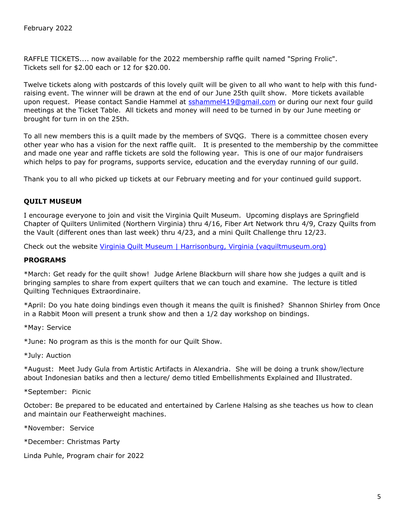RAFFLE TICKETS.... now available for the 2022 membership raffle quilt named "Spring Frolic". Tickets sell for \$2.00 each or 12 for \$20.00.

Twelve tickets along with postcards of this lovely quilt will be given to all who want to help with this fundraising event. The winner will be drawn at the end of our June 25th quilt show. More tickets available upon request. Please contact Sandie Hammel at sshammel419@qmail.com or during our next four guild meetings at the Ticket Table. All tickets and money will need to be turned in by our June meeting or brought for turn in on the 25th.

To all new members this is a quilt made by the members of SVQG. There is a committee chosen every other year who has a vision for the next raffle quilt. It is presented to the membership by the committee and made one year and raffle tickets are sold the following year. This is one of our major fundraisers which helps to pay for programs, supports service, education and the everyday running of our guild.

Thank you to all who picked up tickets at our February meeting and for your continued guild support.

# **QUILT MUSEUM**

I encourage everyone to join and visit the Virginia Quilt Museum. Upcoming displays are Springfield Chapter of Quilters Unlimited (Northern Virginia) thru 4/16, Fiber Art Network thru 4/9, Crazy Quilts from the Vault (different ones than last week) thru 4/23, and a mini Quilt Challenge thru 12/23.

Check out the website [Virginia Quilt Museum | Harrisonburg, Virginia \(vaquiltmuseum.org\)](https://www.vaquiltmuseum.org/)

#### **PROGRAMS**

\*March: Get ready for the quilt show! Judge Arlene Blackburn will share how she judges a quilt and is bringing samples to share from expert quilters that we can touch and examine. The lecture is titled Quilting Techniques Extraordinaire.

\*April: Do you hate doing bindings even though it means the quilt is finished? Shannon Shirley from Once in a Rabbit Moon will present a trunk show and then a 1/2 day workshop on bindings.

\*May: Service

\*June: No program as this is the month for our Quilt Show.

\*July: Auction

\*August: Meet Judy Gula from Artistic Artifacts in Alexandria. She will be doing a trunk show/lecture about Indonesian batiks and then a lecture/ demo titled Embellishments Explained and Illustrated.

\*September: Picnic

October: Be prepared to be educated and entertained by Carlene Halsing as she teaches us how to clean and maintain our Featherweight machines.

\*November: Service

\*December: Christmas Party

Linda Puhle, Program chair for 2022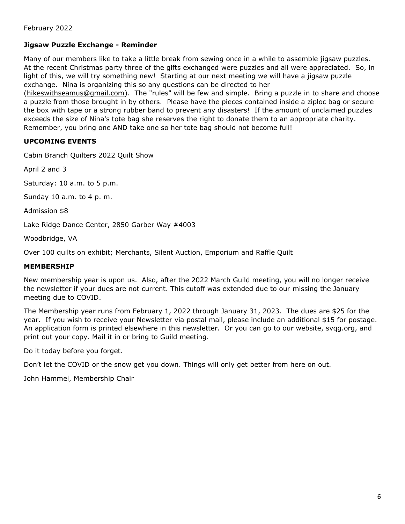# **Jigsaw Puzzle Exchange - Reminder**

Many of our members like to take a little break from sewing once in a while to assemble jigsaw puzzles. At the recent Christmas party three of the gifts exchanged were puzzles and all were appreciated. So, in light of this, we will try something new! Starting at our next meeting we will have a jigsaw puzzle exchange. Nina is organizing this so any questions can be directed to her

[\(hikeswithseamus@gmail.com\)](mailto:hikeswithseamus@gmail.com). The "rules" will be few and simple. Bring a puzzle in to share and choose a puzzle from those brought in by others. Please have the pieces contained inside a ziploc bag or secure the box with tape or a strong rubber band to prevent any disasters! If the amount of unclaimed puzzles exceeds the size of Nina's tote bag she reserves the right to donate them to an appropriate charity. Remember, you bring one AND take one so her tote bag should not become full!

# **UPCOMING EVENTS**

Cabin Branch Quilters 2022 Quilt Show

April 2 and 3

Saturday: 10 a.m. to 5 p.m.

Sunday 10 a.m. to 4 p. m.

Admission \$8

Lake Ridge Dance Center, 2850 Garber Way #4003

Woodbridge, VA

Over 100 quilts on exhibit; Merchants, Silent Auction, Emporium and Raffle Quilt

# **MEMBERSHIP**

New membership year is upon us. Also, after the 2022 March Guild meeting, you will no longer receive the newsletter if your dues are not current. This cutoff was extended due to our missing the January meeting due to COVID.

The Membership year runs from February 1, 2022 through January 31, 2023. The dues are \$25 for the year. If you wish to receive your Newsletter via postal mail, please include an additional \$15 for postage. An application form is printed elsewhere in this newsletter. Or you can go to our website, svqg.org, and print out your copy. Mail it in or bring to Guild meeting.

Do it today before you forget.

Don't let the COVID or the snow get you down. Things will only get better from here on out.

John Hammel, Membership Chair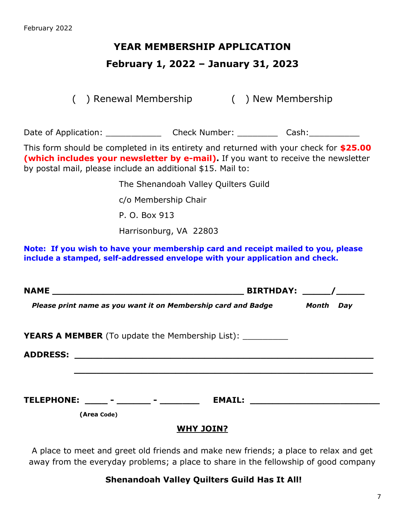# **YEAR MEMBERSHIP APPLICATION**

# **February 1, 2022 – January 31, 2023**

( ) Renewal Membership ( ) New Membership

Date of Application: \_\_\_\_\_\_\_\_\_\_\_\_\_\_\_\_ Check Number: \_\_\_\_\_\_\_\_\_\_\_ Cash: \_\_\_\_\_\_\_\_\_\_

This form should be completed in its entirety and returned with your check for **\$25.00 (which includes your newsletter by e-mail).** If you want to receive the newsletter by postal mail, please include an additional \$15. Mail to:

The Shenandoah Valley Quilters Guild

c/o Membership Chair

P. O. Box 913

Harrisonburg, VA 22803

**Note: If you wish to have your membership card and receipt mailed to you, please include a stamped, self-addressed envelope with your application and check.**

|                                       |                                                                     | <b>BIRTHDAY:</b> / |
|---------------------------------------|---------------------------------------------------------------------|--------------------|
|                                       | Please print name as you want it on Membership card and Badge Month | Day                |
|                                       | <b>YEARS A MEMBER</b> (To update the Membership List): ___________  |                    |
|                                       |                                                                     |                    |
| TELEPHONE: _____ - _______ - ________ | <b>EMAIL:</b>                                                       |                    |
| (Area Code)                           | <b>WHY JOIN?</b>                                                    |                    |

A place to meet and greet old friends and make new friends; a place to relax and get away from the everyday problems; a place to share in the fellowship of good company

# **Shenandoah Valley Quilters Guild Has It All!**